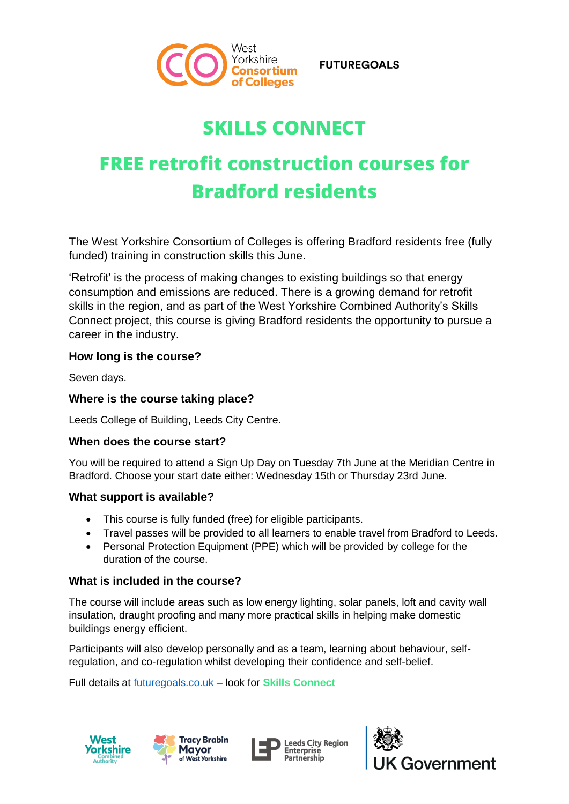

**FUTUREGOALS** 

## **SKILLS CONNECT**

# **FREE retrofit construction courses for Bradford residents**

The West Yorkshire Consortium of Colleges is offering Bradford residents free (fully funded) training in construction skills this June.

'Retrofit' is the process of making changes to existing buildings so that energy consumption and emissions are reduced. There is a growing demand for retrofit skills in the region, and as part of the West Yorkshire Combined Authority's Skills Connect project, this course is giving Bradford residents the opportunity to pursue a career in the industry.

### **How long is the course?**

Seven days.

## **Where is the course taking place?**

Leeds College of Building, Leeds City Centre.

#### **When does the course start?**

You will be required to attend a Sign Up Day on Tuesday 7th June at the Meridian Centre in Bradford. Choose your start date either: Wednesday 15th or Thursday 23rd June.

#### **What support is available?**

- This course is fully funded (free) for eligible participants.
- Travel passes will be provided to all learners to enable travel from Bradford to Leeds.
- Personal Protection Equipment (PPE) which will be provided by college for the duration of the course.

## **What is included in the course?**

The course will include areas such as low energy lighting, solar panels, loft and cavity wall insulation, draught proofing and many more practical skills in helping make domestic buildings energy efficient.

Participants will also develop personally and as a team, learning about behaviour, selfregulation, and co-regulation whilst developing their confidence and self-belief.

Full details at [futuregoals.co.uk](https://www.futuregoals.co.uk/learn/free-adult-training-courses/skills-connect-training-courses/digital-courses/retrofit-construction-course/) – look for **Skills Connect**







**Leeds City Region Enterprise** Partnership